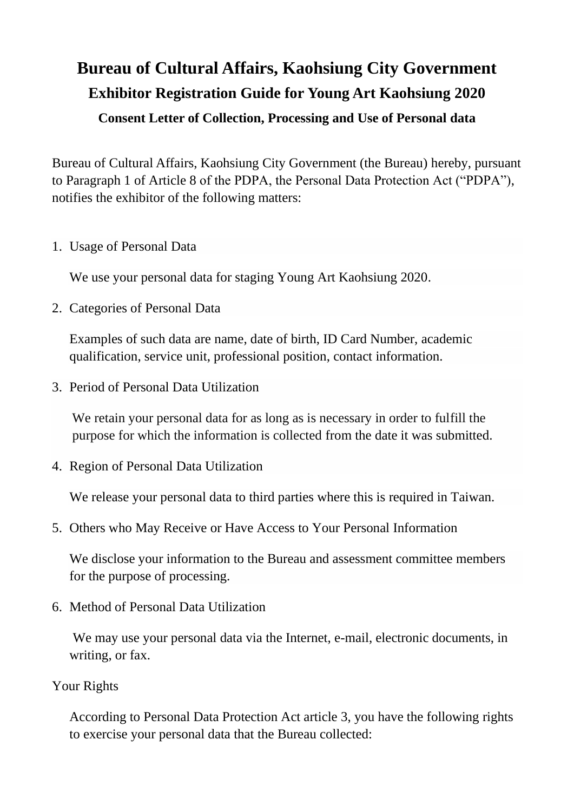## **Bureau of Cultural Affairs, Kaohsiung City Government Exhibitor Registration Guide for Young Art Kaohsiung 2020 Consent Letter of Collection, Processing and Use of Personal data**

Bureau of Cultural Affairs, Kaohsiung City Government (the Bureau) hereby, pursuant to Paragraph 1 of Article 8 of the PDPA, the Personal Data Protection Act ("PDPA"), notifies the exhibitor of the following matters:

1. Usage of Personal Data

We use your personal data for staging Young Art Kaohsiung 2020.

2. Categories of Personal Data

Examples of such data are name, date of birth, ID Card Number, academic qualification, service unit, [professional position,](https://www.linguee.com/english-chinese/translation/one%27s+professional+position.html) contact information.

3. Period of Personal Data Utilization

We retain your personal data for as long as is necessary in order to fulfill the purpose for which the information is collected from the date it was submitted.

4. Region of Personal Data Utilization

We release your personal data to third parties where this is required in Taiwan.

5. Others who May Receive or Have Access to Your Personal Information

We disclose your information to the Bureau and assessment committee members for the purpose of processing.

6. Method of Personal Data Utilization

We may use your personal data via the Internet, e-mail, electronic documents, in writing, or fax.

## Your Rights

According to Personal Data Protection Act article 3, you have the following rights to exercise your personal data that the Bureau collected: